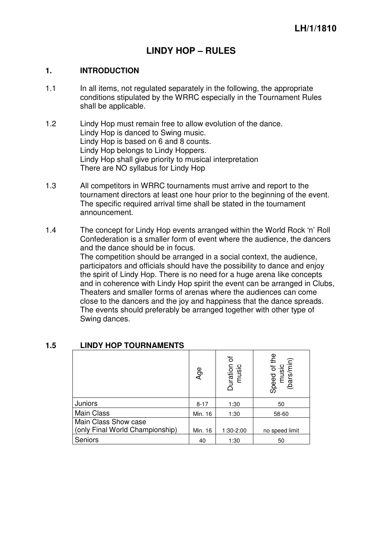# **LINDY HOP – RULES**

#### **1. INTRODUCTION**

- 1.1 In all items, not regulated separately in the following, the appropriate conditions stipulated by the WRRC especially in the Tournament Rules shall be applicable.
- 1.2 Lindy Hop must remain free to allow evolution of the dance. Lindy Hop is danced to Swing music. Lindy Hop is based on 6 and 8 counts. Lindy Hop belongs to Lindy Hoppers. Lindy Hop shall give priority to musical interpretation There are NO syllabus for Lindy Hop
- 1.3 All competitors in WRRC tournaments must arrive and report to the tournament directors at least one hour prior to the beginning of the event. The specific required arrival time shall be stated in the tournament announcement.
- 1.4 The concept for Lindy Hop events arranged within the World Rock 'n' Roll Confederation is a smaller form of event where the audience, the dancers and the dance should be in focus.

The competition should be arranged in a social context, the audience, participators and officials should have the possibility to dance and enjoy the spirit of Lindy Hop. There is no need for a huge arena like concepts and in coherence with Lindy Hop spirit the event can be arranged in Clubs, Theaters and smaller forms of arenas where the audiences can come close to the dancers and the joy and happiness that the dance spreads. The events should preferably be arranged together with other type of Swing dances.

|                                                         | Age      | ৳<br>Duration<br>music | Speed of the<br>music<br>(bars/min) |
|---------------------------------------------------------|----------|------------------------|-------------------------------------|
| Juniors                                                 | $8 - 17$ | 1:30                   | 50                                  |
| <b>Main Class</b>                                       | Min. 16  | 1:30                   | 58-60                               |
| Main Class Show case<br>(only Final World Championship) | Min. 16  | 1:30-2:00              | no speed limit                      |
| Seniors                                                 | 40       | 1:30                   | 50                                  |

#### **1.5 LINDY HOP TOURNAMENTS**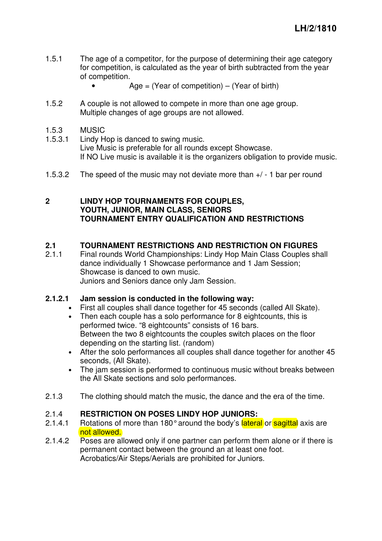- 1.5.1 The age of a competitor, for the purpose of determining their age category for competition, is calculated as the year of birth subtracted from the year of competition.
	- Age  $=$  (Year of competition) (Year of birth)
- 1.5.2 A couple is not allowed to compete in more than one age group. Multiple changes of age groups are not allowed.
- 1.5.3 MUSIC
- 1.5.3.1 Lindy Hop is danced to swing music. Live Music is preferable for all rounds except Showcase. If NO Live music is available it is the organizers obligation to provide music.
- 1.5.3.2 The speed of the music may not deviate more than +/ 1 bar per round

# **2 LINDY HOP TOURNAMENTS FOR COUPLES, YOUTH, JUNIOR, MAIN CLASS, SENIORS TOURNAMENT ENTRY QUALIFICATION AND RESTRICTIONS**

#### **2.1 TOURNAMENT RESTRICTIONS AND RESTRICTION ON FIGURES**

2.1.1 Final rounds World Championships: Lindy Hop Main Class Couples shall dance individually 1 Showcase performance and 1 Jam Session; Showcase is danced to own music. Juniors and Seniors dance only Jam Session.

#### **2.1.2.1 Jam session is conducted in the following way:**

- First all couples shall dance together for 45 seconds (called All Skate).
- Then each couple has a solo performance for 8 eightcounts, this is performed twice. "8 eightcounts" consists of 16 bars. Between the two 8 eightcounts the couples switch places on the floor depending on the starting list. (random)
- After the solo performances all couples shall dance together for another 45 seconds, (All Skate).
- The jam session is performed to continuous music without breaks between the All Skate sections and solo performances.
- 2.1.3 The clothing should match the music, the dance and the era of the time.

#### 2.1.4 **RESTRICTION ON POSES LINDY HOP JUNIORS:**

- 2.1.4.1 Rotations of more than 180° around the body's lateral or sagittal axis are not allowed.
- 2.1.4.2 Poses are allowed only if one partner can perform them alone or if there is permanent contact between the ground an at least one foot. Acrobatics/Air Steps/Aerials are prohibited for Juniors.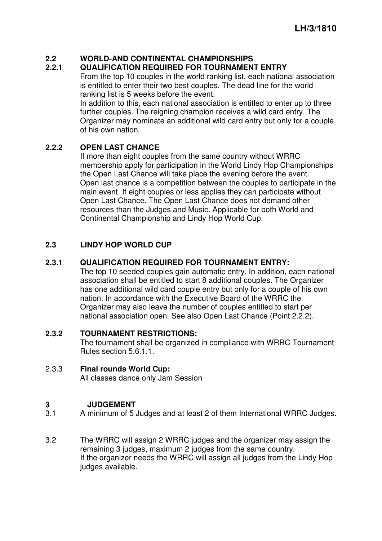# **2.2 WORLD-AND CONTINENTAL CHAMPIONSHIPS**

# **2.2.1 QUALIFICATION REQUIRED FOR TOURNAMENT ENTRY**

From the top 10 couples in the world ranking list, each national association is entitled to enter their two best couples. The dead line for the world ranking list is 5 weeks before the event.

In addition to this, each national association is entitled to enter up to three further couples. The reigning champion receives a wild card entry. The Organizer may nominate an additional wild card entry but only for a couple of his own nation.

# **2.2.2 OPEN LAST CHANCE**

If more than eight couples from the same country without WRRC membership apply for participation in the World Lindy Hop Championships the Open Last Chance will take place the evening before the event. Open last chance is a competition between the couples to participate in the main event. If eight couples or less applies they can participate without Open Last Chance. The Open Last Chance does not demand other resources than the Judges and Music. Applicable for both World and Continental Championship and Lindy Hop World Cup.

# **2.3 LINDY HOP WORLD CUP**

#### **2.3.1 QUALIFICATION REQUIRED FOR TOURNAMENT ENTRY:**

The top 10 seeded couples gain automatic entry. In addition, each national association shall be entitled to start 8 additional couples. The Organizer has one additional wild card couple entry but only for a couple of his own nation. In accordance with the Executive Board of the WRRC the Organizer may also leave the number of couples entitled to start per national association open. See also Open Last Chance (Point 2.2.2).

# **2.3.2 TOURNAMENT RESTRICTIONS:**

The tournament shall be organized in compliance with WRRC Tournament Rules section 5.6.1.1.

2.3.3 **Final rounds World Cup:** All classes dance only Jam Session

# **3 JUDGEMENT**

- 3.1 A minimum of 5 Judges and at least 2 of them International WRRC Judges.
- 3.2 The WRRC will assign 2 WRRC judges and the organizer may assign the remaining 3 judges, maximum 2 judges from the same country. If the organizer needs the WRRC will assign all judges from the Lindy Hop judges available.